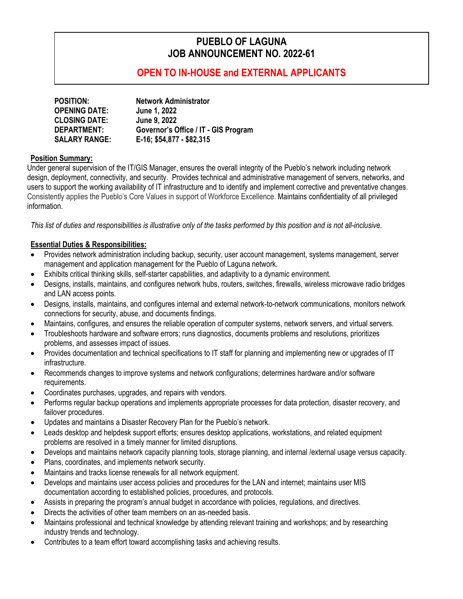# **PUEBLO OF LAGUNA JOB ANNOUNCEMENT NO. 2022-61**

## **OPEN TO IN-HOUSE and EXTERNAL APPLICANTS**

| <b>POSITION:</b>     | <b>Network Administrator</b>         |
|----------------------|--------------------------------------|
| <b>OPENING DATE:</b> | June 1, 2022                         |
| <b>CLOSING DATE:</b> | <b>June 9, 2022</b>                  |
| <b>DEPARTMENT:</b>   | Governor's Office / IT - GIS Program |
| <b>SALARY RANGE:</b> | E-16; \$54,877 - \$82,315            |

### **Position Summary:**

Under general supervision of the IT/GIS Manager, ensures the overall integrity of the Pueblo's network including network design, deployment, connectivity, and security. Provides technical and administrative management of servers, networks, and users to support the working availability of IT infrastructure and to identify and implement corrective and preventative changes. Consistently applies the Pueblo's Core Values in support of Workforce Excellence. Maintains confidentiality of all privileged information.

*This list of duties and responsibilities is illustrative only of the tasks performed by this position and is not all-inclusive.*

### **Essential Duties & Responsibilities:**

- Provides network administration including backup, security, user account management, systems management, server management and application management for the Pueblo of Laguna network.
- Exhibits critical thinking skills, self-starter capabilities, and adaptivity to a dynamic environment.
- Designs, installs, maintains, and configures network hubs, routers, switches, firewalls, wireless microwave radio bridges and LAN access points.
- Designs, installs, maintains, and configures internal and external network-to-network communications, monitors network connections for security, abuse, and documents findings.
- Maintains, configures, and ensures the reliable operation of computer systems, network servers, and virtual servers.
- Troubleshoots hardware and software errors; runs diagnostics, documents problems and resolutions, prioritizes problems, and assesses impact of issues.
- Provides documentation and technical specifications to IT staff for planning and implementing new or upgrades of IT infrastructure.
- Recommends changes to improve systems and network configurations; determines hardware and/or software requirements.
- Coordinates purchases, upgrades, and repairs with vendors.
- Performs regular backup operations and implements appropriate processes for data protection, disaster recovery, and failover procedures.
- Updates and maintains a Disaster Recovery Plan for the Pueblo's network.
- Leads desktop and helpdesk support efforts; ensures desktop applications, workstations, and related equipment problems are resolved in a timely manner for limited disruptions.
- Develops and maintains network capacity planning tools, storage planning, and internal /external usage versus capacity.
- Plans, coordinates, and implements network security.
- Maintains and tracks license renewals for all network equipment.
- Develops and maintains user access policies and procedures for the LAN and internet; maintains user MIS documentation according to established policies, procedures, and protocols.
- Assists in preparing the program's annual budget in accordance with policies, regulations, and directives.
- Directs the activities of other team members on an as-needed basis.
- Maintains professional and technical knowledge by attending relevant training and workshops; and by researching industry trends and technology.
- Contributes to a team effort toward accomplishing tasks and achieving results.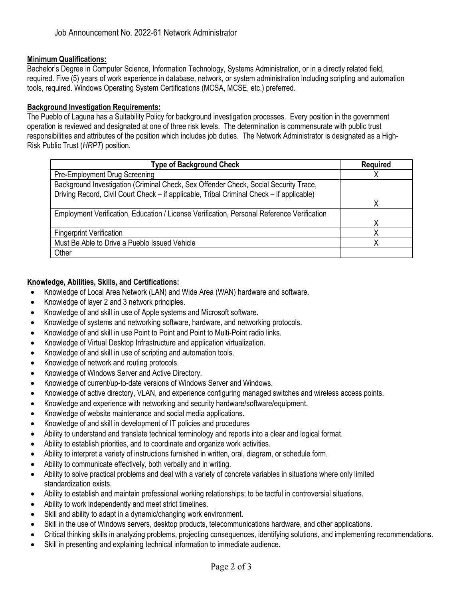## **Minimum Qualifications:**

Bachelor's Degree in Computer Science, Information Technology, Systems Administration, or in a directly related field, required. Five (5) years of work experience in database, network, or system administration including scripting and automation tools, required. Windows Operating System Certifications (MCSA, MCSE, etc.) preferred.

#### **Background Investigation Requirements:**

The Pueblo of Laguna has a Suitability Policy for background investigation processes. Every position in the government operation is reviewed and designated at one of three risk levels. The determination is commensurate with public trust responsibilities and attributes of the position which includes job duties. The Network Administrator is designated as a High-Risk Public Trust (*HRPT*) position.

| <b>Type of Background Check</b>                                                            | <b>Required</b> |
|--------------------------------------------------------------------------------------------|-----------------|
| Pre-Employment Drug Screening                                                              |                 |
| Background Investigation (Criminal Check, Sex Offender Check, Social Security Trace,       |                 |
| Driving Record, Civil Court Check - if applicable, Tribal Criminal Check - if applicable)  |                 |
|                                                                                            | x               |
| Employment Verification, Education / License Verification, Personal Reference Verification |                 |
|                                                                                            |                 |
| <b>Fingerprint Verification</b>                                                            |                 |
| Must Be Able to Drive a Pueblo Issued Vehicle                                              |                 |
| Other                                                                                      |                 |

### **Knowledge, Abilities, Skills, and Certifications:**

- Knowledge of Local Area Network (LAN) and Wide Area (WAN) hardware and software.
- Knowledge of layer 2 and 3 network principles.
- Knowledge of and skill in use of Apple systems and Microsoft software.
- Knowledge of systems and networking software, hardware, and networking protocols.
- Knowledge of and skill in use Point to Point and Point to Multi-Point radio links.
- Knowledge of Virtual Desktop Infrastructure and application virtualization.
- Knowledge of and skill in use of scripting and automation tools.
- Knowledge of network and routing protocols.
- Knowledge of Windows Server and Active Directory.
- Knowledge of current/up-to-date versions of Windows Server and Windows.
- Knowledge of active directory, VLAN, and experience configuring managed switches and wireless access points.
- Knowledge and experience with networking and security hardware/software/equipment.
- Knowledge of website maintenance and social media applications.
- Knowledge of and skill in development of IT policies and procedures
- Ability to understand and translate technical terminology and reports into a clear and logical format.
- Ability to establish priorities, and to coordinate and organize work activities.
- Ability to interpret a variety of instructions furnished in written, oral, diagram, or schedule form.
- Ability to communicate effectively, both verbally and in writing.
- Ability to solve practical problems and deal with a variety of concrete variables in situations where only limited standardization exists.
- Ability to establish and maintain professional working relationships; to be tactful in controversial situations.
- Ability to work independently and meet strict timelines.
- Skill and ability to adapt in a dynamic/changing work environment.
- Skill in the use of Windows servers, desktop products, telecommunications hardware, and other applications.
- Critical thinking skills in analyzing problems, projecting consequences, identifying solutions, and implementing recommendations.
- Skill in presenting and explaining technical information to immediate audience.